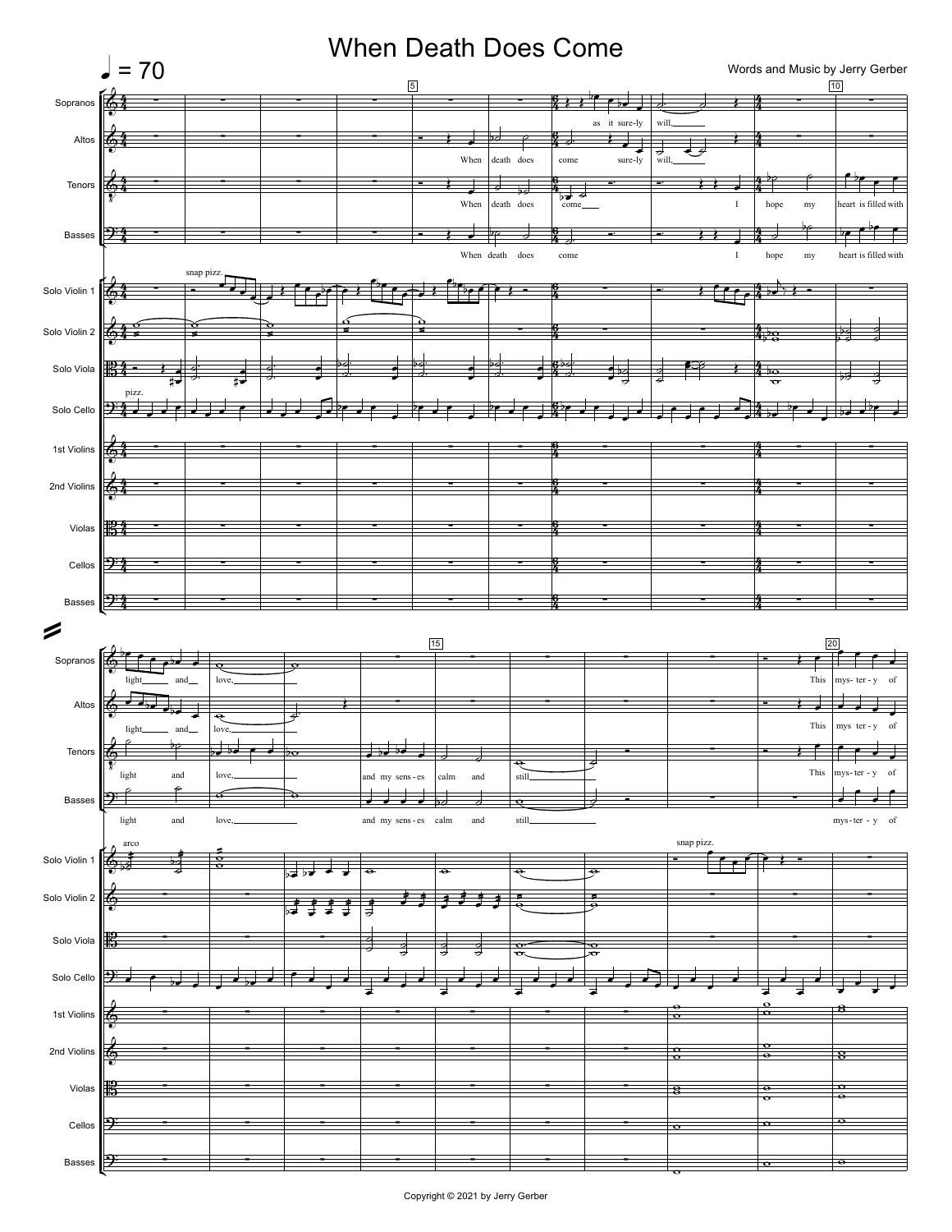